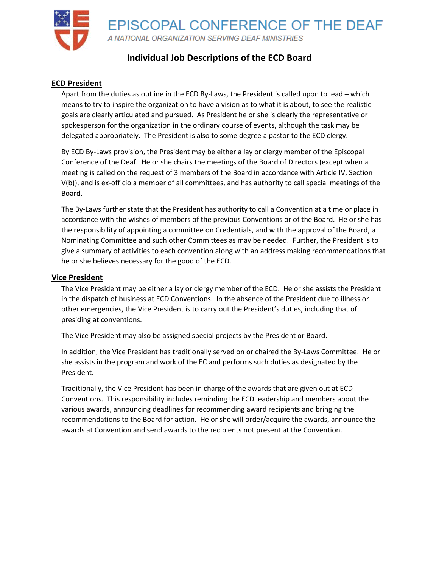

# **Individual Job Descriptions of the ECD Board**

## **ECD President**

Apart from the duties as outline in the ECD By-Laws, the President is called upon to lead – which means to try to inspire the organization to have a vision as to what it is about, to see the realistic goals are clearly articulated and pursued. As President he or she is clearly the representative or spokesperson for the organization in the ordinary course of events, although the task may be delegated appropriately. The President is also to some degree a pastor to the ECD clergy.

By ECD By-Laws provision, the President may be either a lay or clergy member of the Episcopal Conference of the Deaf. He or she chairs the meetings of the Board of Directors (except when a meeting is called on the request of 3 members of the Board in accordance with Article IV, Section V(b)), and is ex-officio a member of all committees, and has authority to call special meetings of the Board.

The By-Laws further state that the President has authority to call a Convention at a time or place in accordance with the wishes of members of the previous Conventions or of the Board. He or she has the responsibility of appointing a committee on Credentials, and with the approval of the Board, a Nominating Committee and such other Committees as may be needed. Further, the President is to give a summary of activities to each convention along with an address making recommendations that he or she believes necessary for the good of the ECD.

#### **Vice President**

The Vice President may be either a lay or clergy member of the ECD. He or she assists the President in the dispatch of business at ECD Conventions. In the absence of the President due to illness or other emergencies, the Vice President is to carry out the President's duties, including that of presiding at conventions.

The Vice President may also be assigned special projects by the President or Board.

In addition, the Vice President has traditionally served on or chaired the By-Laws Committee. He or she assists in the program and work of the EC and performs such duties as designated by the President.

Traditionally, the Vice President has been in charge of the awards that are given out at ECD Conventions. This responsibility includes reminding the ECD leadership and members about the various awards, announcing deadlines for recommending award recipients and bringing the recommendations to the Board for action. He or she will order/acquire the awards, announce the awards at Convention and send awards to the recipients not present at the Convention.